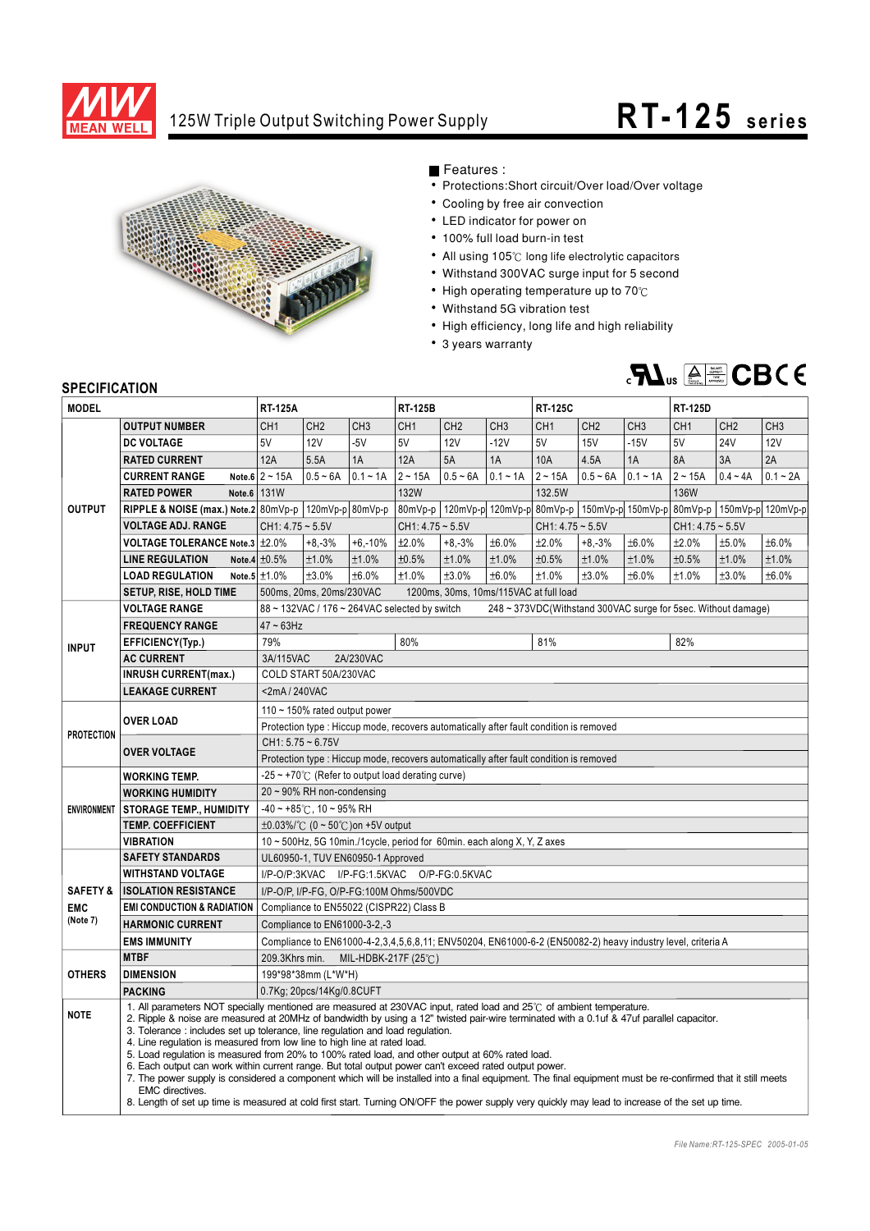

## 125W Triple Output Switching Power Supply **RT-125** series



Features :

- Protections: Short circuit/Over load/Over voltage
- Cooling by free air convection
- LED indicator for power on
- 100% full load burn-in test
- All using 105°C long life electrolytic capacitors
- Withstand 300VAC surge input for 5 second
- $\bullet$  High operating temperature up to 70 $\degree$ C
- Withstand 5G vibration test
- High efficiency, long life and high reliability
- 3 years warranty



## **SPECIFICATION**

| <b>JELUIFIUAI IUN</b>                         |                                                                                                                                                                                                                                                                                                                                                                                                                                                                                                                                                                                                                                                                                                                                                                                                                                                                                                                                                                              |                                                                                                                |                                                                         |                 |                    |                 |                 |                                                                                           |                 |                 |                    |                 |                 |
|-----------------------------------------------|------------------------------------------------------------------------------------------------------------------------------------------------------------------------------------------------------------------------------------------------------------------------------------------------------------------------------------------------------------------------------------------------------------------------------------------------------------------------------------------------------------------------------------------------------------------------------------------------------------------------------------------------------------------------------------------------------------------------------------------------------------------------------------------------------------------------------------------------------------------------------------------------------------------------------------------------------------------------------|----------------------------------------------------------------------------------------------------------------|-------------------------------------------------------------------------|-----------------|--------------------|-----------------|-----------------|-------------------------------------------------------------------------------------------|-----------------|-----------------|--------------------|-----------------|-----------------|
| <b>MODEL</b>                                  |                                                                                                                                                                                                                                                                                                                                                                                                                                                                                                                                                                                                                                                                                                                                                                                                                                                                                                                                                                              | <b>RT-125A</b>                                                                                                 |                                                                         |                 | <b>RT-125B</b>     |                 |                 | <b>RT-125C</b>                                                                            |                 |                 | <b>RT-125D</b>     |                 |                 |
| <b>OUTPUT</b>                                 | <b>OUTPUT NUMBER</b>                                                                                                                                                                                                                                                                                                                                                                                                                                                                                                                                                                                                                                                                                                                                                                                                                                                                                                                                                         | CH <sub>1</sub>                                                                                                | CH <sub>2</sub>                                                         | CH <sub>3</sub> | CH <sub>1</sub>    | CH <sub>2</sub> | CH <sub>3</sub> | CH <sub>1</sub>                                                                           | CH <sub>2</sub> | CH <sub>3</sub> | CH <sub>1</sub>    | CH <sub>2</sub> | CH <sub>3</sub> |
|                                               | <b>DC VOLTAGE</b>                                                                                                                                                                                                                                                                                                                                                                                                                                                                                                                                                                                                                                                                                                                                                                                                                                                                                                                                                            | 5V                                                                                                             | 12V                                                                     | $-5V$           | 5V                 | <b>12V</b>      | $-12V$          | 5V                                                                                        | <b>15V</b>      | $-15V$          | 5V                 | <b>24V</b>      | <b>12V</b>      |
|                                               | <b>RATED CURRENT</b>                                                                                                                                                                                                                                                                                                                                                                                                                                                                                                                                                                                                                                                                                                                                                                                                                                                                                                                                                         | 12A                                                                                                            | 5.5A                                                                    | 1A              | 12A                | 5A              | 1A              | 10A                                                                                       | 4.5A            | 1A              | 8A                 | 3A              | 2A              |
|                                               | <b>CURRENT RANGE</b>                                                                                                                                                                                                                                                                                                                                                                                                                                                                                                                                                                                                                                                                                                                                                                                                                                                                                                                                                         | Note.6 $2 \sim 15A$                                                                                            | $0.5 - 6A$                                                              | $0.1 - 1A$      | $2 - 15A$          | $0.5 - 6A$      | $0.1 - 1A$      | $2 - 15A$                                                                                 | $0.5 - 6A$      | $0.1 - 1A$      | $2 - 15A$          | $0.4 - 4A$      | $0.1 - 2A$      |
|                                               | Note.6 131W<br><b>RATED POWER</b>                                                                                                                                                                                                                                                                                                                                                                                                                                                                                                                                                                                                                                                                                                                                                                                                                                                                                                                                            |                                                                                                                |                                                                         |                 | 132W               |                 |                 | 132.5W                                                                                    |                 |                 | 136W               |                 |                 |
|                                               | RIPPLE & NOISE (max.) Note.2 $80mVp-p$ 120mVp-p 80mVp-p                                                                                                                                                                                                                                                                                                                                                                                                                                                                                                                                                                                                                                                                                                                                                                                                                                                                                                                      |                                                                                                                |                                                                         |                 |                    |                 |                 | 80mVp-p   120mVp-p  120mVp-p  80mVp-p   150mVp-p  150mVp-p   80mVp-p   150mVp-p  120mVp-p |                 |                 |                    |                 |                 |
|                                               | <b>VOLTAGE ADJ. RANGE</b>                                                                                                                                                                                                                                                                                                                                                                                                                                                                                                                                                                                                                                                                                                                                                                                                                                                                                                                                                    | $CH1: 4.75 \sim 5.5V$                                                                                          |                                                                         |                 | $CH1: 4.75 - 5.5V$ |                 |                 | $CH1: 4.75 - 5.5V$                                                                        |                 |                 | $CH1: 4.75 - 5.5V$ |                 |                 |
|                                               | <b>VOLTAGE TOLERANCE Note.3 ±2.0%</b>                                                                                                                                                                                                                                                                                                                                                                                                                                                                                                                                                                                                                                                                                                                                                                                                                                                                                                                                        |                                                                                                                | $+8,-3%$                                                                | $+6,-10%$       | ±2.0%              | $+8,-3%$        | ±6.0%           | ±2.0%                                                                                     | $+8,-3%$        | ±6.0%           | ±2.0%              | ±5.0%           | ±6.0%           |
|                                               | <b>LINE REGULATION</b>                                                                                                                                                                                                                                                                                                                                                                                                                                                                                                                                                                                                                                                                                                                                                                                                                                                                                                                                                       | Note.4 $\pm 0.5\%$                                                                                             | ±1.0%                                                                   | ±1.0%           | ±0.5%              | ±1.0%           | ±1.0%           | ±0.5%                                                                                     | ±1.0%           | ±1.0%           | ±0.5%              | ±1.0%           | ±1.0%           |
|                                               | <b>LOAD REGULATION</b>                                                                                                                                                                                                                                                                                                                                                                                                                                                                                                                                                                                                                                                                                                                                                                                                                                                                                                                                                       | Note.5 $\pm$ 1.0%                                                                                              | ±3.0%                                                                   | ±6.0%           | ±1.0%              | ±3.0%           | ±6.0%           | ±1.0%                                                                                     | ±3.0%           | ±6.0%           | ±1.0%              | ±3.0%           | ±6.0%           |
|                                               | <b>SETUP, RISE, HOLD TIME</b>                                                                                                                                                                                                                                                                                                                                                                                                                                                                                                                                                                                                                                                                                                                                                                                                                                                                                                                                                | 500ms, 20ms, 20ms/230VAC<br>1200ms, 30ms, 10ms/115VAC at full load                                             |                                                                         |                 |                    |                 |                 |                                                                                           |                 |                 |                    |                 |                 |
|                                               | <b>VOLTAGE RANGE</b>                                                                                                                                                                                                                                                                                                                                                                                                                                                                                                                                                                                                                                                                                                                                                                                                                                                                                                                                                         | 88 ~ 132VAC / 176 ~ 264VAC selected by switch<br>248 ~ 373VDC(Withstand 300VAC surge for 5sec. Without damage) |                                                                         |                 |                    |                 |                 |                                                                                           |                 |                 |                    |                 |                 |
| <b>INPUT</b>                                  | <b>FREQUENCY RANGE</b>                                                                                                                                                                                                                                                                                                                                                                                                                                                                                                                                                                                                                                                                                                                                                                                                                                                                                                                                                       | $47 \sim 63$ Hz                                                                                                |                                                                         |                 |                    |                 |                 |                                                                                           |                 |                 |                    |                 |                 |
|                                               | EFFICIENCY(Typ.)                                                                                                                                                                                                                                                                                                                                                                                                                                                                                                                                                                                                                                                                                                                                                                                                                                                                                                                                                             | 79%                                                                                                            |                                                                         |                 | 80%                |                 |                 | 81%                                                                                       |                 |                 | 82%                |                 |                 |
|                                               | <b>AC CURRENT</b>                                                                                                                                                                                                                                                                                                                                                                                                                                                                                                                                                                                                                                                                                                                                                                                                                                                                                                                                                            | 3A/115VAC                                                                                                      |                                                                         | 2A/230VAC       |                    |                 |                 |                                                                                           |                 |                 |                    |                 |                 |
|                                               | <b>INRUSH CURRENT(max.)</b>                                                                                                                                                                                                                                                                                                                                                                                                                                                                                                                                                                                                                                                                                                                                                                                                                                                                                                                                                  |                                                                                                                | COLD START 50A/230VAC                                                   |                 |                    |                 |                 |                                                                                           |                 |                 |                    |                 |                 |
|                                               | <b>LEAKAGE CURRENT</b>                                                                                                                                                                                                                                                                                                                                                                                                                                                                                                                                                                                                                                                                                                                                                                                                                                                                                                                                                       | <2mA/240VAC                                                                                                    |                                                                         |                 |                    |                 |                 |                                                                                           |                 |                 |                    |                 |                 |
| <b>PROTECTION</b>                             |                                                                                                                                                                                                                                                                                                                                                                                                                                                                                                                                                                                                                                                                                                                                                                                                                                                                                                                                                                              | 110 $\sim$ 150% rated output power                                                                             |                                                                         |                 |                    |                 |                 |                                                                                           |                 |                 |                    |                 |                 |
|                                               | <b>OVER LOAD</b>                                                                                                                                                                                                                                                                                                                                                                                                                                                                                                                                                                                                                                                                                                                                                                                                                                                                                                                                                             | Protection type : Hiccup mode, recovers automatically after fault condition is removed                         |                                                                         |                 |                    |                 |                 |                                                                                           |                 |                 |                    |                 |                 |
|                                               |                                                                                                                                                                                                                                                                                                                                                                                                                                                                                                                                                                                                                                                                                                                                                                                                                                                                                                                                                                              | $CH1: 5.75 - 6.75V$                                                                                            |                                                                         |                 |                    |                 |                 |                                                                                           |                 |                 |                    |                 |                 |
|                                               | <b>OVER VOLTAGE</b>                                                                                                                                                                                                                                                                                                                                                                                                                                                                                                                                                                                                                                                                                                                                                                                                                                                                                                                                                          | Protection type : Hiccup mode, recovers automatically after fault condition is removed                         |                                                                         |                 |                    |                 |                 |                                                                                           |                 |                 |                    |                 |                 |
| <b>ENVIRONMENT</b>                            | <b>WORKING TEMP.</b>                                                                                                                                                                                                                                                                                                                                                                                                                                                                                                                                                                                                                                                                                                                                                                                                                                                                                                                                                         | $-25 \sim +70^{\circ}$ (Refer to output load derating curve)                                                   |                                                                         |                 |                    |                 |                 |                                                                                           |                 |                 |                    |                 |                 |
|                                               | <b>WORKING HUMIDITY</b>                                                                                                                                                                                                                                                                                                                                                                                                                                                                                                                                                                                                                                                                                                                                                                                                                                                                                                                                                      | $20 \sim 90\%$ RH non-condensing                                                                               |                                                                         |                 |                    |                 |                 |                                                                                           |                 |                 |                    |                 |                 |
|                                               | <b>STORAGE TEMP., HUMIDITY</b>                                                                                                                                                                                                                                                                                                                                                                                                                                                                                                                                                                                                                                                                                                                                                                                                                                                                                                                                               | $-40 \sim +85^{\circ}$ C, 10 ~ 95% RH                                                                          |                                                                         |                 |                    |                 |                 |                                                                                           |                 |                 |                    |                 |                 |
|                                               | <b>TEMP. COEFFICIENT</b>                                                                                                                                                                                                                                                                                                                                                                                                                                                                                                                                                                                                                                                                                                                                                                                                                                                                                                                                                     |                                                                                                                | $\pm 0.03\%$ /°C (0 ~ 50°C) on +5V output                               |                 |                    |                 |                 |                                                                                           |                 |                 |                    |                 |                 |
|                                               | <b>VIBRATION</b>                                                                                                                                                                                                                                                                                                                                                                                                                                                                                                                                                                                                                                                                                                                                                                                                                                                                                                                                                             |                                                                                                                | 10 ~ 500Hz, 5G 10min./1cycle, period for 60min. each along X, Y, Z axes |                 |                    |                 |                 |                                                                                           |                 |                 |                    |                 |                 |
|                                               | <b>SAFETY STANDARDS</b>                                                                                                                                                                                                                                                                                                                                                                                                                                                                                                                                                                                                                                                                                                                                                                                                                                                                                                                                                      | UL60950-1, TUV EN60950-1 Approved                                                                              |                                                                         |                 |                    |                 |                 |                                                                                           |                 |                 |                    |                 |                 |
| <b>SAFETY &amp;</b><br><b>EMC</b><br>(Note 7) | <b>WITHSTAND VOLTAGE</b>                                                                                                                                                                                                                                                                                                                                                                                                                                                                                                                                                                                                                                                                                                                                                                                                                                                                                                                                                     |                                                                                                                | I/P-O/P:3KVAC I/P-FG:1.5KVAC O/P-FG:0.5KVAC                             |                 |                    |                 |                 |                                                                                           |                 |                 |                    |                 |                 |
|                                               | <b>ISOLATION RESISTANCE</b>                                                                                                                                                                                                                                                                                                                                                                                                                                                                                                                                                                                                                                                                                                                                                                                                                                                                                                                                                  | I/P-O/P, I/P-FG, O/P-FG:100M Ohms/500VDC                                                                       |                                                                         |                 |                    |                 |                 |                                                                                           |                 |                 |                    |                 |                 |
|                                               | <b>EMI CONDUCTION &amp; RADIATION</b>                                                                                                                                                                                                                                                                                                                                                                                                                                                                                                                                                                                                                                                                                                                                                                                                                                                                                                                                        | Compliance to EN55022 (CISPR22) Class B                                                                        |                                                                         |                 |                    |                 |                 |                                                                                           |                 |                 |                    |                 |                 |
|                                               | <b>HARMONIC CURRENT</b>                                                                                                                                                                                                                                                                                                                                                                                                                                                                                                                                                                                                                                                                                                                                                                                                                                                                                                                                                      | Compliance to EN61000-3-2,-3                                                                                   |                                                                         |                 |                    |                 |                 |                                                                                           |                 |                 |                    |                 |                 |
|                                               | <b>EMS IMMUNITY</b>                                                                                                                                                                                                                                                                                                                                                                                                                                                                                                                                                                                                                                                                                                                                                                                                                                                                                                                                                          | Compliance to EN61000-4-2,3,4,5,6,8,11; ENV50204, EN61000-6-2 (EN50082-2) heavy industry level, criteria A     |                                                                         |                 |                    |                 |                 |                                                                                           |                 |                 |                    |                 |                 |
| <b>OTHERS</b>                                 | <b>MTBF</b>                                                                                                                                                                                                                                                                                                                                                                                                                                                                                                                                                                                                                                                                                                                                                                                                                                                                                                                                                                  | 209.3Khrs min.<br>MIL-HDBK-217F (25℃)                                                                          |                                                                         |                 |                    |                 |                 |                                                                                           |                 |                 |                    |                 |                 |
|                                               | <b>DIMENSION</b>                                                                                                                                                                                                                                                                                                                                                                                                                                                                                                                                                                                                                                                                                                                                                                                                                                                                                                                                                             | 199*98*38mm (L*W*H)                                                                                            |                                                                         |                 |                    |                 |                 |                                                                                           |                 |                 |                    |                 |                 |
|                                               | <b>PACKING</b>                                                                                                                                                                                                                                                                                                                                                                                                                                                                                                                                                                                                                                                                                                                                                                                                                                                                                                                                                               |                                                                                                                | 0.7Kg; 20pcs/14Kg/0.8CUFT                                               |                 |                    |                 |                 |                                                                                           |                 |                 |                    |                 |                 |
| <b>NOTE</b>                                   | 1. All parameters NOT specially mentioned are measured at 230VAC input, rated load and 25°C of ambient temperature.<br>2. Ripple & noise are measured at 20MHz of bandwidth by using a 12" twisted pair-wire terminated with a 0.1uf & 47uf parallel capacitor.<br>3. Tolerance: includes set up tolerance, line regulation and load regulation.<br>4. Line regulation is measured from low line to high line at rated load.<br>5. Load regulation is measured from 20% to 100% rated load, and other output at 60% rated load.<br>6. Each output can work within current range. But total output power can't exceed rated output power.<br>7. The power supply is considered a component which will be installed into a final equipment. The final equipment must be re-confirmed that it still meets<br>EMC directives.<br>8. Length of set up time is measured at cold first start. Turning ON/OFF the power supply very quickly may lead to increase of the set up time. |                                                                                                                |                                                                         |                 |                    |                 |                 |                                                                                           |                 |                 |                    |                 |                 |